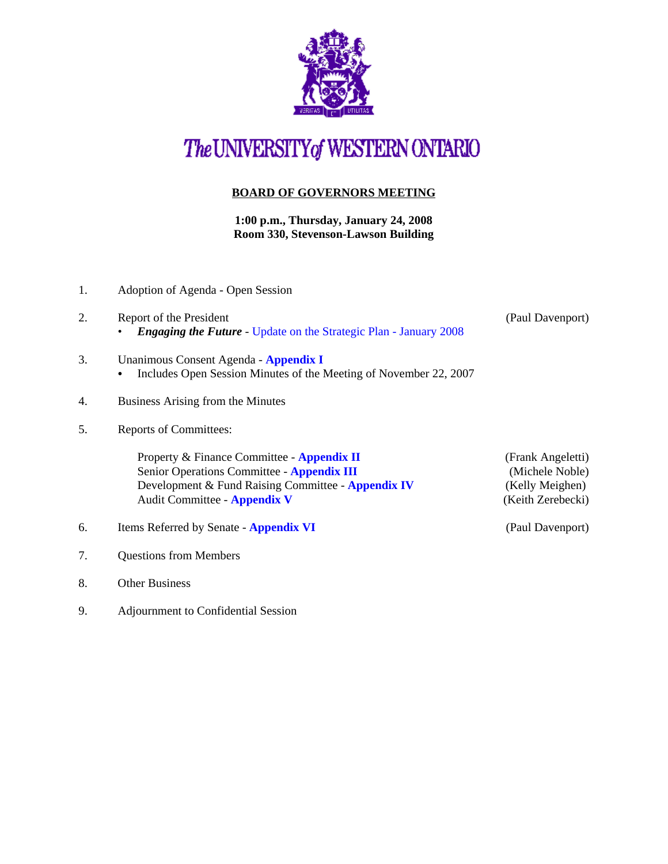

## The UNIVERSITY of WESTERN ONTARIO

## **BOARD OF GOVERNORS MEETING**

**1:00 p.m., Thursday, January 24, 2008 Room 330, Stevenson-Lawson Building**

- 2. Report of the President (Paul Davenport) • *Engaging the Future* - [Update on the Strategic Plan - January 2008](http://www.uwo.ca/univsec/board/minutes/2008/strategic_plan_january_2008.pdf) 3. Unanimous Consent Agenda - **[Appendix I](http://www.uwo.ca/univsec/board/minutes/2008/r0801consent.pdf)**  • Includes Open Session Minutes of the Meeting of November 22, 2007 4. Business Arising from the Minutes 5. Reports of Committees: Property & Finance Committee - **[Appendix II](http://www.uwo.ca/univsec/board/minutes/2008/r0801pf.pdf)** (Frank Angeletti) Senior Operations Committee - **[Appendix III](http://www.uwo.ca/univsec/board/minutes/2008/r0801srops.pdf)** (Michele Noble) Development & Fund Raising Committee - **[Appendix IV](http://www.uwo.ca/univsec/board/minutes/2008/r0801dfr.pdf)** (Kelly Meighen) Audit Committee - **[Appendix V](http://www.uwo.ca/univsec/board/minutes/2008/r0801aud.pdf)** (Keith Zerebecki) 6. Items Referred by Senate - **[Appendix VI](http://www.uwo.ca/univsec/board/minutes/2008/r0801sen.pdf)** (Paul Davenport) 7. Questions from Members 8. Other Business
- 9. Adjournment to Confidential Session

1. Adoption of Agenda - Open Session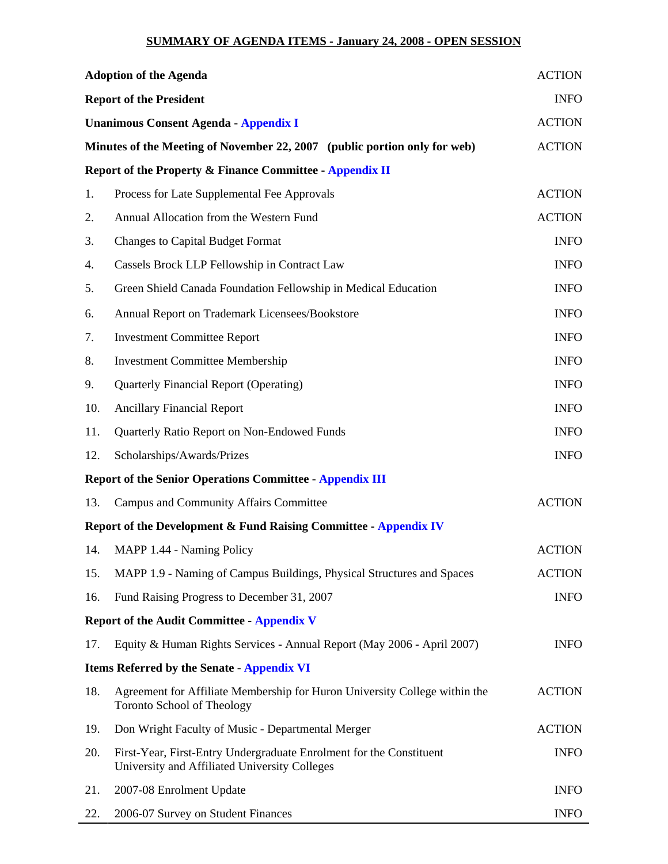## **SUMMARY OF AGENDA ITEMS - January 24, 2008 - OPEN SESSION**

| <b>Adoption of the Agenda</b><br><b>Report of the President</b><br><b>Unanimous Consent Agenda - Appendix I</b><br>Minutes of the Meeting of November 22, 2007 (public portion only for web) |                                                                                                                      | <b>ACTION</b><br><b>INFO</b><br><b>ACTION</b><br><b>ACTION</b> |    |                                                          |               |
|----------------------------------------------------------------------------------------------------------------------------------------------------------------------------------------------|----------------------------------------------------------------------------------------------------------------------|----------------------------------------------------------------|----|----------------------------------------------------------|---------------|
|                                                                                                                                                                                              |                                                                                                                      |                                                                |    | Report of the Property & Finance Committee - Appendix II |               |
|                                                                                                                                                                                              |                                                                                                                      |                                                                | 1. | Process for Late Supplemental Fee Approvals              | <b>ACTION</b> |
|                                                                                                                                                                                              |                                                                                                                      |                                                                | 2. | Annual Allocation from the Western Fund                  | <b>ACTION</b> |
| 3.                                                                                                                                                                                           | <b>Changes to Capital Budget Format</b>                                                                              | <b>INFO</b>                                                    |    |                                                          |               |
| 4.                                                                                                                                                                                           | Cassels Brock LLP Fellowship in Contract Law                                                                         | <b>INFO</b>                                                    |    |                                                          |               |
| 5.                                                                                                                                                                                           | Green Shield Canada Foundation Fellowship in Medical Education                                                       | <b>INFO</b>                                                    |    |                                                          |               |
| 6.                                                                                                                                                                                           | Annual Report on Trademark Licensees/Bookstore                                                                       | <b>INFO</b>                                                    |    |                                                          |               |
| 7.                                                                                                                                                                                           | <b>Investment Committee Report</b>                                                                                   | <b>INFO</b>                                                    |    |                                                          |               |
| 8.                                                                                                                                                                                           | <b>Investment Committee Membership</b>                                                                               | <b>INFO</b>                                                    |    |                                                          |               |
| 9.                                                                                                                                                                                           | <b>Quarterly Financial Report (Operating)</b>                                                                        | <b>INFO</b>                                                    |    |                                                          |               |
| 10.                                                                                                                                                                                          | <b>Ancillary Financial Report</b>                                                                                    | <b>INFO</b>                                                    |    |                                                          |               |
| 11.                                                                                                                                                                                          | Quarterly Ratio Report on Non-Endowed Funds                                                                          | <b>INFO</b>                                                    |    |                                                          |               |
| 12.                                                                                                                                                                                          | Scholarships/Awards/Prizes                                                                                           | <b>INFO</b>                                                    |    |                                                          |               |
|                                                                                                                                                                                              | <b>Report of the Senior Operations Committee - Appendix III</b>                                                      |                                                                |    |                                                          |               |
| 13.                                                                                                                                                                                          | <b>Campus and Community Affairs Committee</b>                                                                        | <b>ACTION</b>                                                  |    |                                                          |               |
|                                                                                                                                                                                              | Report of the Development & Fund Raising Committee - Appendix IV                                                     |                                                                |    |                                                          |               |
| 14.                                                                                                                                                                                          | MAPP 1.44 - Naming Policy                                                                                            | <b>ACTION</b>                                                  |    |                                                          |               |
| 15.                                                                                                                                                                                          | MAPP 1.9 - Naming of Campus Buildings, Physical Structures and Spaces                                                | <b>ACTION</b>                                                  |    |                                                          |               |
| 16.                                                                                                                                                                                          | Fund Raising Progress to December 31, 2007                                                                           | <b>INFO</b>                                                    |    |                                                          |               |
|                                                                                                                                                                                              | <b>Report of the Audit Committee - Appendix V</b>                                                                    |                                                                |    |                                                          |               |
| 17.                                                                                                                                                                                          | Equity & Human Rights Services - Annual Report (May 2006 - April 2007)                                               | <b>INFO</b>                                                    |    |                                                          |               |
|                                                                                                                                                                                              | <b>Items Referred by the Senate - Appendix VI</b>                                                                    |                                                                |    |                                                          |               |
| 18.                                                                                                                                                                                          | Agreement for Affiliate Membership for Huron University College within the<br><b>Toronto School of Theology</b>      | <b>ACTION</b>                                                  |    |                                                          |               |
| 19.                                                                                                                                                                                          | Don Wright Faculty of Music - Departmental Merger                                                                    | <b>ACTION</b>                                                  |    |                                                          |               |
| 20.                                                                                                                                                                                          | First-Year, First-Entry Undergraduate Enrolment for the Constituent<br>University and Affiliated University Colleges | <b>INFO</b>                                                    |    |                                                          |               |
| 21.                                                                                                                                                                                          | 2007-08 Enrolment Update                                                                                             | <b>INFO</b>                                                    |    |                                                          |               |
| 22.                                                                                                                                                                                          | 2006-07 Survey on Student Finances                                                                                   | <b>INFO</b>                                                    |    |                                                          |               |